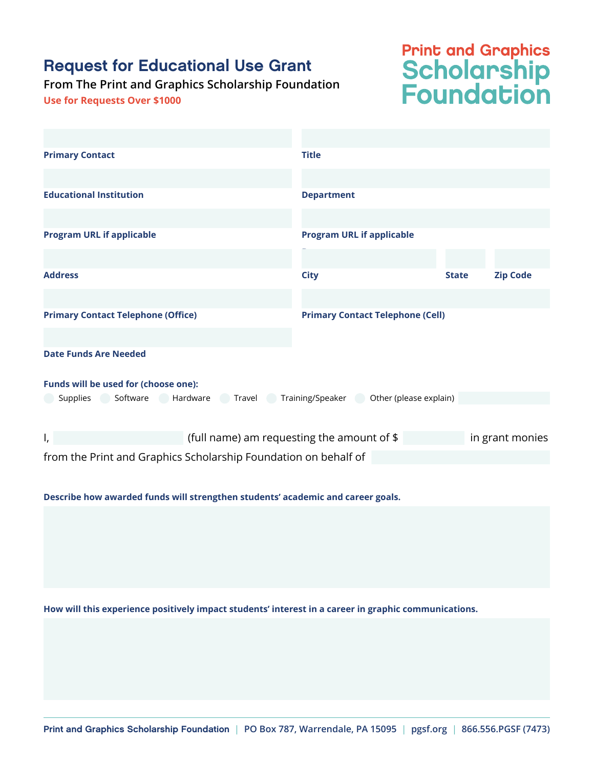## Request for Educational Use Grant

## **From The Print and Graphics Scholarship Foundation**

**Use for Requests Over \$1000**

## **Print and Graphics<br>Scholarship<br>Foundation**

| <b>Primary Contact</b>                                                          | <b>Title</b>                                                  |              |                 |
|---------------------------------------------------------------------------------|---------------------------------------------------------------|--------------|-----------------|
|                                                                                 |                                                               |              |                 |
| <b>Educational Institution</b>                                                  | <b>Department</b>                                             |              |                 |
|                                                                                 |                                                               |              |                 |
| <b>Program URL if applicable</b>                                                | <b>Program URL if applicable</b>                              |              |                 |
|                                                                                 |                                                               |              |                 |
| <b>Address</b>                                                                  | <b>City</b>                                                   | <b>State</b> | <b>Zip Code</b> |
|                                                                                 |                                                               |              |                 |
| <b>Primary Contact Telephone (Office)</b>                                       | <b>Primary Contact Telephone (Cell)</b>                       |              |                 |
|                                                                                 |                                                               |              |                 |
| <b>Date Funds Are Needed</b>                                                    |                                                               |              |                 |
|                                                                                 |                                                               |              |                 |
| Funds will be used for (choose one):                                            |                                                               |              |                 |
| Software Hardware Travel Training/Speaker Other (please explain)<br>Supplies    |                                                               |              |                 |
|                                                                                 |                                                               |              |                 |
| Ι,                                                                              | (full name) am requesting the amount of \$<br>in grant monies |              |                 |
| from the Print and Graphics Scholarship Foundation on behalf of                 |                                                               |              |                 |
|                                                                                 |                                                               |              |                 |
| Describe how awarded funds will strengthen students' academic and career goals. |                                                               |              |                 |
|                                                                                 |                                                               |              |                 |
|                                                                                 |                                                               |              |                 |
|                                                                                 |                                                               |              |                 |
|                                                                                 |                                                               |              |                 |
|                                                                                 |                                                               |              |                 |

**How will this experience positively impact students' interest in a career in graphic communications.**